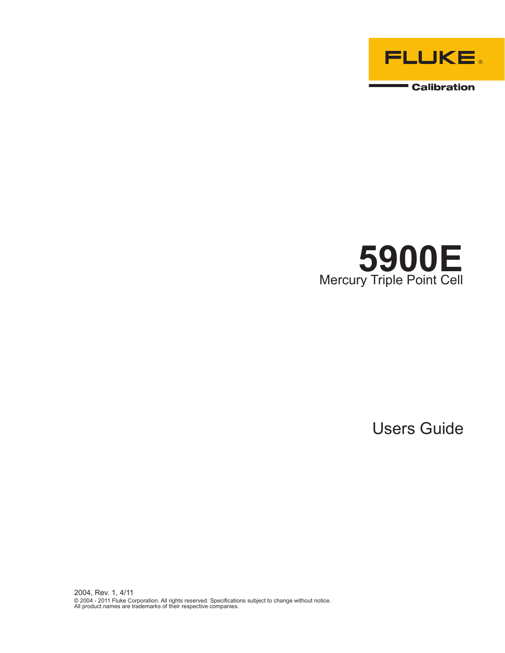



Users Guide

2004, Rev. 1, 4/11 © 2004 - 2011 Fluke Corporation. All rights reserved. Specifications subject to change without notice. All product names are trademarks of their respective companies.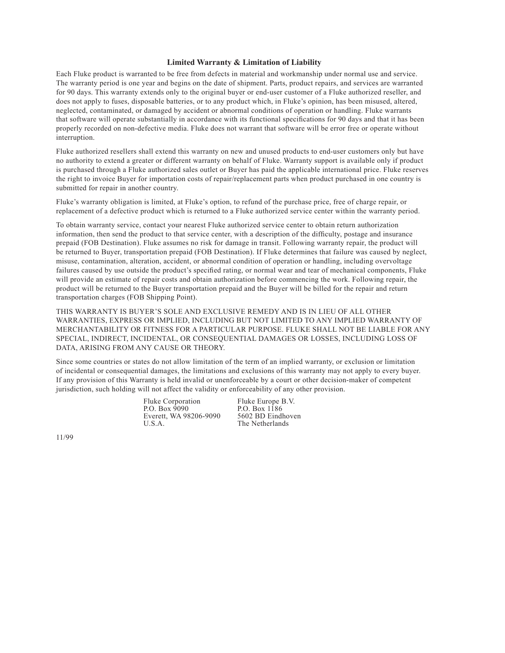#### **Limited Warranty & Limitation of Liability**

Each Fluke product is warranted to be free from defects in material and workmanship under normal use and service. The warranty period is one year and begins on the date of shipment. Parts, product repairs, and services are warranted for 90 days. This warranty extends only to the original buyer or end-user customer of a Fluke authorized reseller, and does not apply to fuses, disposable batteries, or to any product which, in Fluke's opinion, has been misused, altered, neglected, contaminated, or damaged by accident or abnormal conditions of operation or handling. Fluke warrants that software will operate substantially in accordance with its functional specifications for 90 days and that it has been properly recorded on non-defective media. Fluke does not warrant that software will be error free or operate without interruption.

Fluke authorized resellers shall extend this warranty on new and unused products to end-user customers only but have no authority to extend a greater or different warranty on behalf of Fluke. Warranty support is available only if product is purchased through a Fluke authorized sales outlet or Buyer has paid the applicable international price. Fluke reserves the right to invoice Buyer for importation costs of repair/replacement parts when product purchased in one country is submitted for repair in another country.

Fluke's warranty obligation is limited, at Fluke's option, to refund of the purchase price, free of charge repair, or replacement of a defective product which is returned to a Fluke authorized service center within the warranty period.

To obtain warranty service, contact your nearest Fluke authorized service center to obtain return authorization information, then send the product to that service center, with a description of the difficulty, postage and insurance prepaid (FOB Destination). Fluke assumes no risk for damage in transit. Following warranty repair, the product will be returned to Buyer, transportation prepaid (FOB Destination). If Fluke determines that failure was caused by neglect, misuse, contamination, alteration, accident, or abnormal condition of operation or handling, including overvoltage failures caused by use outside the product's specified rating, or normal wear and tear of mechanical components, Fluke will provide an estimate of repair costs and obtain authorization before commencing the work. Following repair, the product will be returned to the Buyer transportation prepaid and the Buyer will be billed for the repair and return transportation charges (FOB Shipping Point).

THIS WARRANTY IS BUYER'S SOLE AND EXCLUSIVE REMEDY AND IS IN LIEU OF ALL OTHER WARRANTIES, EXPRESS OR IMPLIED, INCLUDING BUT NOT LIMITED TO ANY IMPLIED WARRANTY OF MERCHANTABILITY OR FITNESS FOR A PARTICULAR PURPOSE. FLUKE SHALL NOT BE LIABLE FOR ANY SPECIAL, INDIRECT, INCIDENTAL, OR CONSEQUENTIAL DAMAGES OR LOSSES, INCLUDING LOSS OF DATA, ARISING FROM ANY CAUSE OR THEORY.

Since some countries or states do not allow limitation of the term of an implied warranty, or exclusion or limitation of incidental or consequential damages, the limitations and exclusions of this warranty may not apply to every buyer. If any provision of this Warranty is held invalid or unenforceable by a court or other decision-maker of competent jurisdiction, such holding will not affect the validity or enforceability of any other provision.

> Fluke Corporation Fluke Europe B.V.<br>P.O. Box 9090 P.O. Box 1186 P.O. Box 9090 P.O. Box 1186<br>Everett. WA 98206-9090 5602 BD Eindhoven Everett, WA 98206-9090 U.S.A. The Netherlands

11/99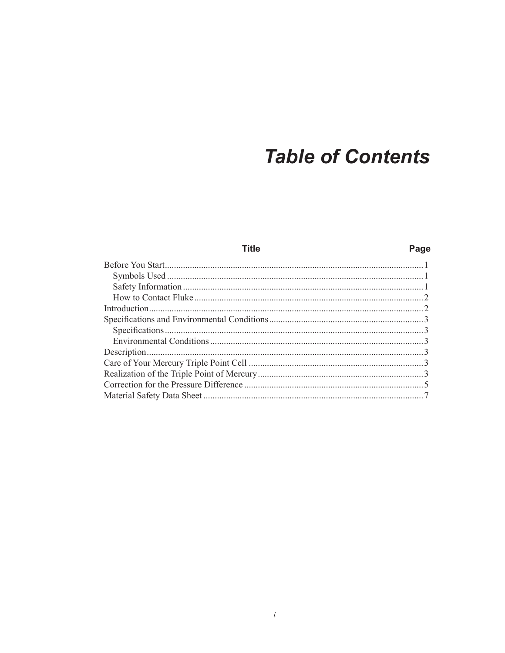## **Table of Contents**

| Title | Page |
|-------|------|
|       |      |
|       |      |
|       |      |
|       |      |
|       |      |
|       |      |
|       |      |
|       |      |
|       |      |
|       |      |
|       |      |
|       |      |
|       |      |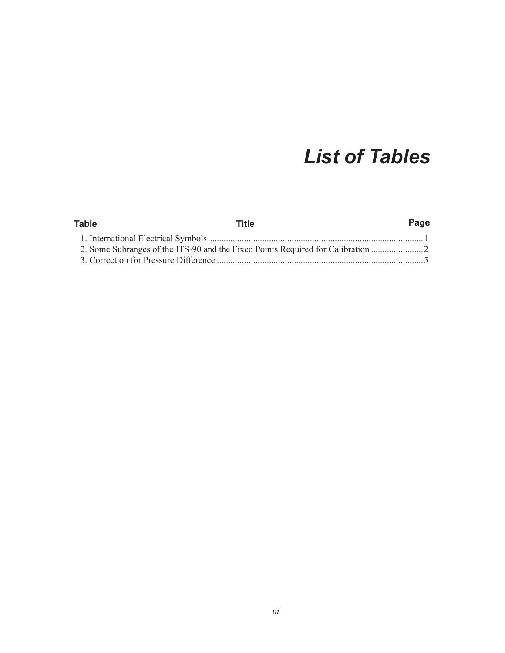## *List of Tables*

| Table | Title | Page |
|-------|-------|------|
|       |       |      |
|       |       |      |
|       |       |      |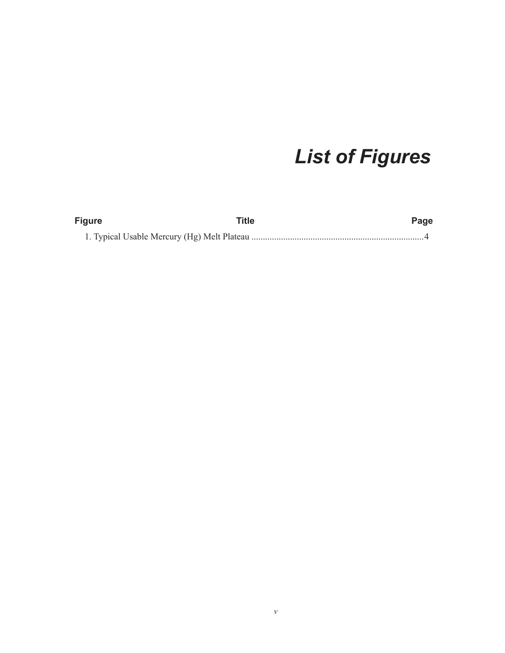# *List of Figures*

| <b>Figure</b> | Title | Page |
|---------------|-------|------|
|               |       |      |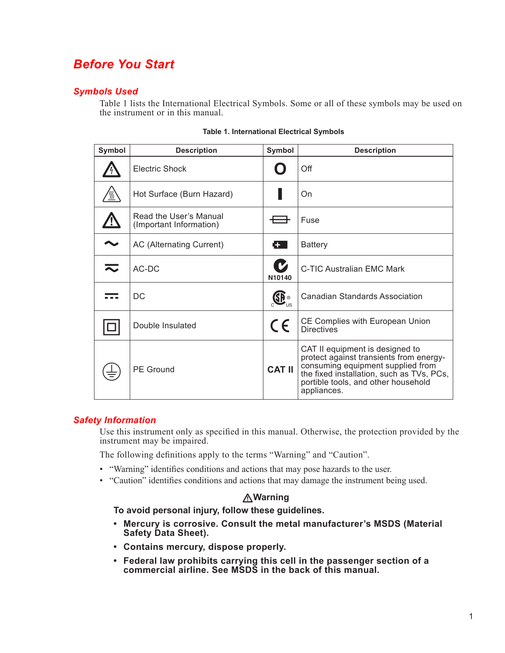### <span id="page-8-0"></span>*Before You Start*

### *Symbols Used*

[Table 1](#page-8-1) lists the International Electrical Symbols. Some or all of these symbols may be used on the instrument or in this manual.

| Symbol | <b>Description</b>                                | Symbol        | <b>Description</b>                                                                                                                                                                                                 |  |  |
|--------|---------------------------------------------------|---------------|--------------------------------------------------------------------------------------------------------------------------------------------------------------------------------------------------------------------|--|--|
|        | <b>Electric Shock</b>                             |               | Off                                                                                                                                                                                                                |  |  |
|        | Hot Surface (Burn Hazard)                         |               | On                                                                                                                                                                                                                 |  |  |
|        | Read the User's Manual<br>(Important Information) |               | Fuse                                                                                                                                                                                                               |  |  |
|        | AC (Alternating Current)                          | Г÷ .          | <b>Battery</b>                                                                                                                                                                                                     |  |  |
|        | AC-DC                                             | V<br>N10140   | C-TIC Australian EMC Mark                                                                                                                                                                                          |  |  |
|        | DC                                                | <b>SP</b>     | Canadian Standards Association                                                                                                                                                                                     |  |  |
|        | Double Insulated                                  | $\epsilon$    | CE Complies with European Union<br><b>Directives</b>                                                                                                                                                               |  |  |
|        | <b>PE Ground</b>                                  | <b>CAT II</b> | CAT II equipment is designed to<br>protect against transients from energy-<br>consuming equipment supplied from<br>the fixed installation, such as TVs, PCs,<br>portible tools, and other household<br>appliances. |  |  |

#### <span id="page-8-1"></span>**Table 1. International Electrical Symbols**

#### *Safety Information*

Use this instrument only as specified in this manual. Otherwise, the protection provided by the instrument may be impaired.

The following definitions apply to the terms "Warning" and "Caution".

- "Warning" identifies conditions and actions that may pose hazards to the user.
- "Caution" identifies conditions and actions that may damage the instrument being used.

#### **Warning**

**To avoid personal injury, follow these guidelines.**

- **• Mercury is corrosive. Consult the metal manufacturer's MSDS (Material Safety Data Sheet).**
- **• Contains mercury, dispose properly.**
- **• Federal law prohibits carrying this cell in the passenger section of a commercial airline. See MSDS in the back of this manual.**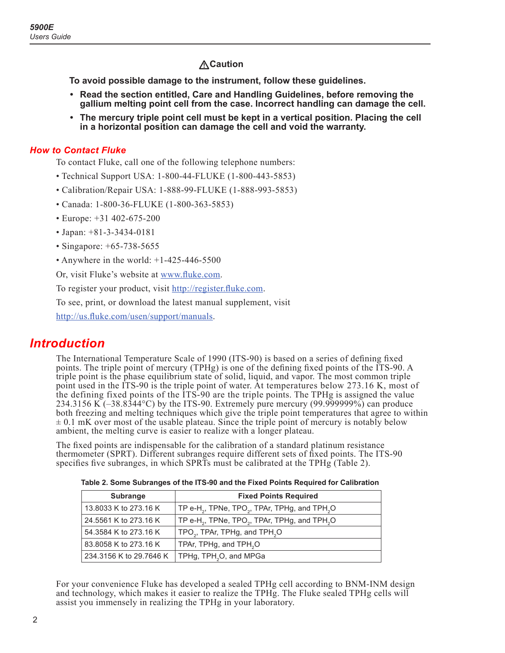### **Caution**

<span id="page-9-0"></span>**To avoid possible damage to the instrument, follow these guidelines.**

- **• Read the section entitled, Care and Handling Guidelines, before removing the gallium melting point cell from the case. Incorrect handling can damage the cell.**
- **• The mercury triple point cell must be kept in a vertical position. Placing the cell in a horizontal position can damage the cell and void the warranty.**

#### *How to Contact Fluke*

To contact Fluke, call one of the following telephone numbers:

- Technical Support USA: 1-800-44-FLUKE (1-800-443-5853)
- Calibration/Repair USA: 1-888-99-FLUKE (1-888-993-5853)
- Canada: 1-800-36-FLUKE (1-800-363-5853)
- Europe: +31 402-675-200
- Japan: +81-3-3434-0181
- Singapore: +65-738-5655
- Anywhere in the world:  $+1-425-446-5500$

Or, visit Fluke's website at [www.fluke.com](http://www.fluke.com).

To register your product, visit <http://register.fluke.com>.

To see, print, or download the latest manual supplement, visit

<http://us.fluke.com/usen/support/manuals>.

### *Introduction*

The International Temperature Scale of 1990 (ITS-90) is based on a series of defining fixed points. The triple point of mercury (TPHg) is one of the defining fixed points of the ITS-90. A triple point is the phase equilibrium state of solid, liquid, and vapor. The most common triple point used in the ITS-90 is the triple point of water. At temperatures below 273.16 K, most of the defining fixed points of the ITS-90 are the triple points. The TPHg is assigned the value 234.3156 K  $(-38.8344\text{°C})$  by the ITS-90. Extremely pure mercury (99.999999%) can produce both freezing and melting techniques which give the triple point temperatures that agree to within  $\pm$  0.1 mK over most of the usable plateau. Since the triple point of mercury is notably below ambient, the melting curve is easier to realize with a longer plateau.

The fixed points are indispensable for the calibration of a standard platinum resistance thermometer (SPRT). Different subranges require different sets of fixed points. The ITS-90 specifies five subranges, in which SPRTs must be calibrated at the TPHg ([Table 2\)](#page-9-1).

| <b>Subrange</b>         | <b>Fixed Points Required</b>                                                      |
|-------------------------|-----------------------------------------------------------------------------------|
| 13.8033 K to 273.16 K   | TP e-H <sub>2</sub> , TPNe, TPO <sub>2</sub> , TPAr, TPHg, and TPH <sub>2</sub> O |
| 24.5561 K to 273.16 K   | TP e-H <sub>2</sub> , TPNe, TPO <sub>2</sub> , TPAr, TPHg, and TPH <sub>2</sub> O |
| 54.3584 K to 273.16 K   | TPO <sub>2</sub> , TPAr, TPHg, and TPH <sub>2</sub> O                             |
| 83.8058 K to 273.16 K   | TPAr, TPHg, and TPH <sub>2</sub> O                                                |
| 234.3156 K to 29.7646 K | TPHg, TPH <sub>2</sub> O, and MPGa                                                |

<span id="page-9-1"></span>**Table 2. Some Subranges of the ITS-90 and the Fixed Points Required for Calibration**

For your convenience Fluke has developed a sealed TPHg cell according to BNM-INM design and technology, which makes it easier to realize the TPHg. The Fluke sealed TPHg cells will assist you immensely in realizing the TPHg in your laboratory.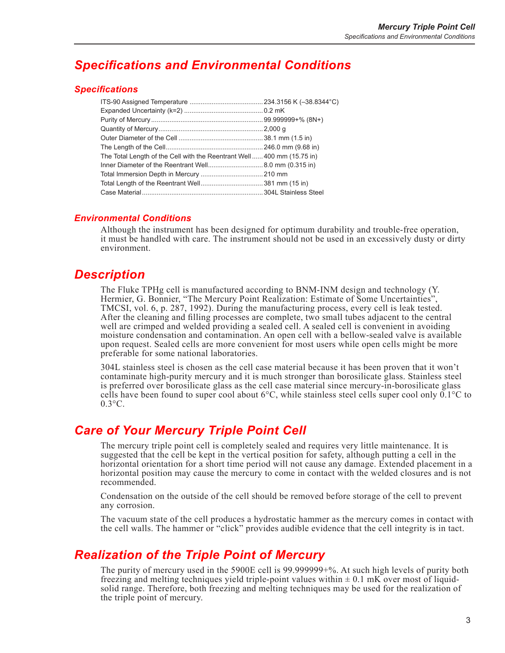## <span id="page-10-0"></span>*Specifications and Environmental Conditions*

#### *Specifications*

| The Total Length of the Cell with the Reentrant Well400 mm (15.75 in) |  |
|-----------------------------------------------------------------------|--|
|                                                                       |  |
|                                                                       |  |
|                                                                       |  |
|                                                                       |  |

#### *Environmental Conditions*

Although the instrument has been designed for optimum durability and trouble-free operation, it must be handled with care. The instrument should not be used in an excessively dusty or dirty environment.

### *Description*

The Fluke TPHg cell is manufactured according to BNM-INM design and technology (Y. Hermier, G. Bonnier, "The Mercury Point Realization: Estimate of Some Uncertainties", TMCSI, vol. 6, p. 287, 1992). During the manufacturing process, every cell is leak tested. After the cleaning and filling processes are complete, two small tubes adjacent to the central well are crimped and welded providing a sealed cell. A sealed cell is convenient in avoiding moisture condensation and contamination. An open cell with a bellow-sealed valve is available upon request. Sealed cells are more convenient for most users while open cells might be more preferable for some national laboratories.

304L stainless steel is chosen as the cell case material because it has been proven that it won't contaminate high-purity mercury and it is much stronger than borosilicate glass. Stainless steel is preferred over borosilicate glass as the cell case material since mercury-in-borosilicate glass cells have been found to super cool about  $6^{\circ}$ C, while stainless steel cells super cool only  $\overline{0.1}^{\circ}$ C to  $0.3$ °C.

### *Care of Your Mercury Triple Point Cell*

The mercury triple point cell is completely sealed and requires very little maintenance. It is suggested that the cell be kept in the vertical position for safety, although putting a cell in the horizontal orientation for a short time period will not cause any damage. Extended placement in a horizontal position may cause the mercury to come in contact with the welded closures and is not recommended.

Condensation on the outside of the cell should be removed before storage of the cell to prevent any corrosion.

The vacuum state of the cell produces a hydrostatic hammer as the mercury comes in contact with the cell walls. The hammer or "click" provides audible evidence that the cell integrity is in tact.

### *Realization of the Triple Point of Mercury*

The purity of mercury used in the 5900E cell is 99.999999+%. At such high levels of purity both freezing and melting techniques yield triple-point values within  $\pm$  0.1 mK over most of liquidsolid range. Therefore, both freezing and melting techniques may be used for the realization of the triple point of mercury.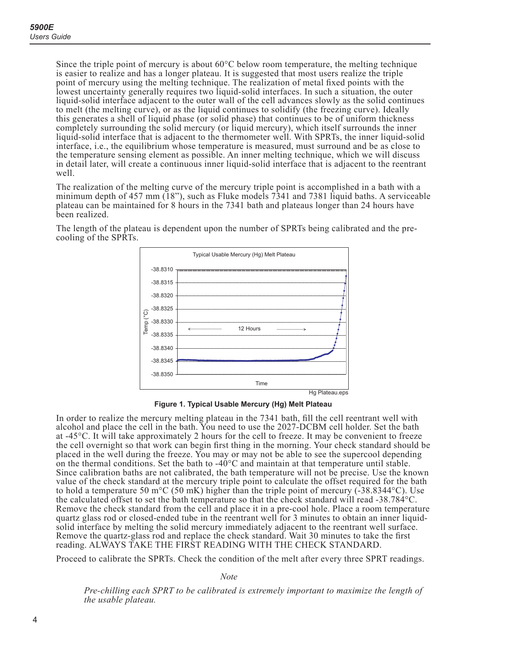<span id="page-11-0"></span>Since the triple point of mercury is about  $60^{\circ}$ C below room temperature, the melting technique is easier to realize and has a longer plateau. It is suggested that most users realize the triple point of mercury using the melting technique. The realization of metal fixed points with the lowest uncertainty generally requires two liquid-solid interfaces. In such a situation, the outer liquid-solid interface adjacent to the outer wall of the cell advances slowly as the solid continues to melt (the melting curve), or as the liquid continues to solidify (the freezing curve). Ideally this generates a shell of liquid phase (or solid phase) that continues to be of uniform thickness completely surrounding the solid mercury (or liquid mercury), which itself surrounds the inner liquid-solid interface that is adjacent to the thermometer well. With SPRTs, the inner liquid-solid interface, i.e., the equilibrium whose temperature is measured, must surround and be as close to the temperature sensing element as possible. An inner melting technique, which we will discuss in detail later, will create a continuous inner liquid-solid interface that is adjacent to the reentrant well.

The realization of the melting curve of the mercury triple point is accomplished in a bath with a minimum depth of 457 mm (18"), such as Fluke models 7341 and 7381 liquid baths. A serviceable plateau can be maintained for 8 hours in the 7341 bath and plateaus longer than 24 hours have been realized.

The length of the plateau is dependent upon the number of SPRTs being calibrated and the precooling of the SPRTs.



**Figure 1. Typical Usable Mercury (Hg) Melt Plateau**

In order to realize the mercury melting plateau in the 7341 bath, fill the cell reentrant well with alcohol and place the cell in the bath. You need to use the 2027-DCBM cell holder. Set the bath at -45°C. It will take approximately 2 hours for the cell to freeze. It may be convenient to freeze the cell overnight so that work can begin first thing in the morning. Your check standard should be placed in the well during the freeze. You may or may not be able to see the supercool depending on the thermal conditions. Set the bath to  $-40^{\circ}$ C and maintain at that temperature until stable. Since calibration baths are not calibrated, the bath temperature will not be precise. Use the known value of the check standard at the mercury triple point to calculate the offset required for the bath to hold a temperature 50 m<sup>o</sup>C (50 mK) higher than the triple point of mercury ( $-38.8344^{\circ}$ C). Use the calculated offset to set the bath temperature so that the check standard will read -38.784°C. Remove the check standard from the cell and place it in a pre-cool hole. Place a room temperature quartz glass rod or closed-ended tube in the reentrant well for 3 minutes to obtain an inner liquidsolid interface by melting the solid mercury immediately adjacent to the reentrant well surface. Remove the quartz-glass rod and replace the check standard. Wait 30 minutes to take the first reading. ALWAYS TAKE THE FIRST READING WITH THE CHECK STANDARD.

Proceed to calibrate the SPRTs. Check the condition of the melt after every three SPRT readings.

*Not*

*Pre-chilling each SPRT to be calibrated is extremely important to maximize the length of the usable plateau.*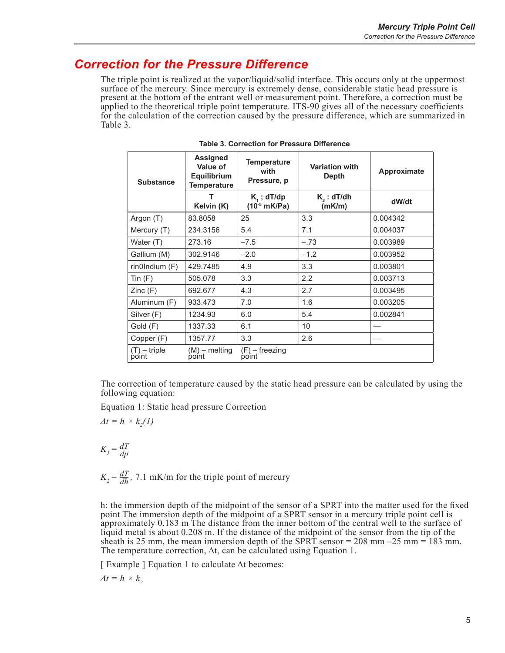### <span id="page-12-0"></span>*Correction for the Pressure Difference*

The triple point is realized at the vapor/liquid/solid interface. This occurs only at the uppermost surface of the mercury. Since mercury is extremely dense, considerable static head pressure is present at the bottom of the entrant well or measurement point. Therefore, a correction must be applied to the theoretical triple point temperature. ITS-90 gives all of the necessary coefficients for the calculation of the correction caused by the pressure difference, which are summarized in [Table 3](#page-12-1).

| <b>Substance</b>        | <b>Assigned</b><br>Value of<br><b>Equilibrium</b><br><b>Temperature</b> |                                   | <b>Variation with</b><br><b>Depth</b> | Approximate |  |
|-------------------------|-------------------------------------------------------------------------|-----------------------------------|---------------------------------------|-------------|--|
|                         | т<br>Kelvin (K)                                                         | $K1$ ; dT/dp<br>$(10^{-5}$ mK/Pa) | $K2$ : dT/dh<br>(mK/m)                | dW/dt       |  |
| Argon (T)               | 83.8058                                                                 | 25                                | 3.3                                   | 0.004342    |  |
| Mercury (T)             | 234.3156                                                                | 5.4                               | 7.1                                   | 0.004037    |  |
| Water (T)               | 273.16                                                                  | $-7.5$                            | $-.73$                                | 0.003989    |  |
| Gallium (M)             | 302.9146                                                                | $-2.0$                            | $-1.2$                                | 0.003952    |  |
| rinOIndium(F)           | 429.7485                                                                | 4.9                               | 3.3                                   | 0.003801    |  |
| Tin $(F)$               | 505.078                                                                 | 3.3                               | 2.2                                   | 0.003713    |  |
| Zinc(F)                 | 692.677                                                                 | 4.3                               | 2.7                                   | 0.003495    |  |
| Aluminum (F)            | 933.473                                                                 | 7.0                               | 1.6                                   | 0.003205    |  |
| Silver (F)              | 1234.93                                                                 | 6.0                               | 5.4                                   | 0.002841    |  |
| Gold (F)                | 1337.33                                                                 | 6.1                               | 10                                    |             |  |
| Copper (F)              | 1357.77                                                                 | 3.3                               | 2.6                                   |             |  |
| $(T) -$ triple<br>point | $(M)$ – melting<br>point                                                | (F) – freezing<br>point           |                                       |             |  |

<span id="page-12-1"></span>**Table 3. Correction for Pressure Difference**

The correction of temperature caused by the static head pressure can be calculated by using the following equation:

Equation 1: Static head pressure Correction

$$
\varDelta t = h \times k_2(I)
$$

$$
K_{I} = \frac{dT}{dp}
$$

 $K_2 = \frac{dT}{dh}$ , 7.1 mK/m for the triple point of mercury

h: the immersion depth of the midpoint of the sensor of a SPRT into the matter used for the fixed point The immersion depth of the midpoint of a SPRT sensor in a mercury triple point cell is approximately 0.183 m The distance from the inner bottom of the central well to the surface of liquid metal is about 0.208 m. If the distance of the midpoint of the sensor from the tip of the sheath is 25 mm, the mean immersion depth of the SPRT sensor = 208 mm –25 mm = 183 mm. The temperature correction,  $\Delta t$ , can be calculated using Equation 1.

[ Example ] Equation 1 to calculate Δt becomes:

 $\Delta t = h \times k$ <sup>2</sup>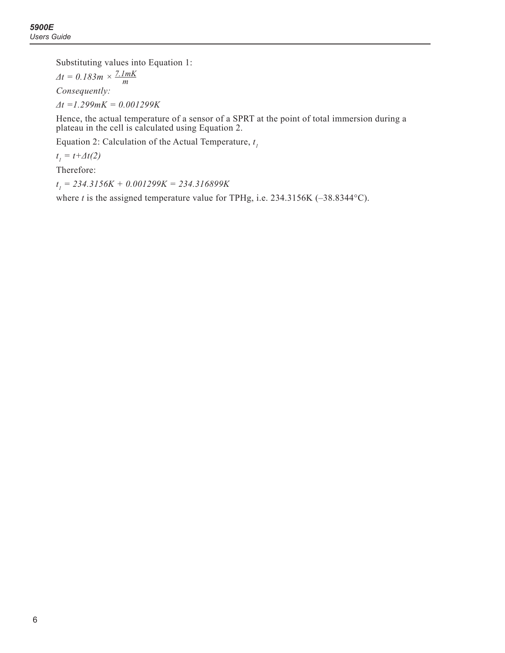Substituting values into Equation 1:

 $\Delta t = 0.183m \times \frac{7.1mK}{m}$ *Consequently: Δt =1.299mK = 0.001299K*

Hence, the actual temperature of a sensor of a SPRT at the point of total immersion during a plateau in the cell is calculated using Equation 2.

Equation 2: Calculation of the Actual Temperature, *t 1*

 $t_1 = t + \Delta t(2)$ 

Therefore:

*t 1 = 234.3156K + 0.001299K = 234.316899K*

where *t* is the assigned temperature value for TPHg, i.e. 234.3156K (-38.8344°C).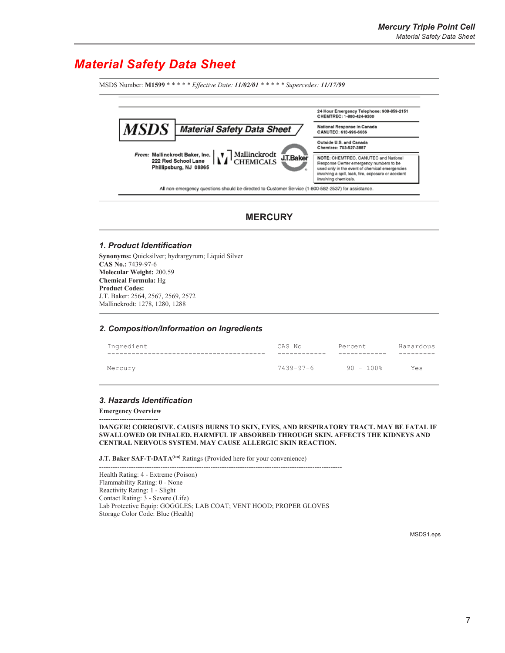### <span id="page-14-0"></span>*Material Safety Data Sheet*

MSDS Number: M1599 \* \* \* \* *\* Effective Date: 11/02/01* \* \* \* \* \* Supercedes: 11/17/99 24 Hour Emergency Telephone: 908-859-2151<br>CHEMTREC: 1-800-424-9300 **MSDS** National Response in Canada **Material Safety Data Sheet** CANUTEC: 613-996-6666 Outside U.S. and Canada Chemtrec: 703-527-3887  $\chi$  Mallinckrodt<br>CHEMICALS From: Mallinckrodt Baker, Inc. NOTE: CHEMTREC, CANUTEC and National<br>Response Center emergency numbers to be<br>used only in the event of chemical emergencies<br>involving a spill, leak, fire, exposure or accident J.T.Baker 222 Red School Lane Phillipsburg, NJ 08865 involving chemicals. All non-emergency questions should be directed to Customer Service (1-800-582-2537) for assistance.

**MERCURY** 

#### **1. Product Identification**

Synonyms: Quicksilver; hydrargyrum; Liquid Silver **CAS No.: 7439-97-6 Molecular Weight: 200.59 Chemical Formula:** Hg **Product Codes:** J.T. Baker: 2564, 2567, 2569, 2572 Mallinckrodt: 1278, 1280, 1288

#### **2. Composition/Information on Ingredients**

| Ingredient | CAS No    | Percent      | Hazardous |
|------------|-----------|--------------|-----------|
| Mercury    | 7439-97-6 | $90 - 100$ % | Yes       |

#### **3. Hazards Identification**

**Emergency Overview** -------------------------

DANGER! CORROSIVE. CAUSES BURNS TO SKIN, EYES, AND RESPIRATORY TRACT. MAY BE FATAL IF **6: SWALLOWED OR INHALED. HARMFUL IF ABSORBED THROUGH SKIN. AFFECTS THE KIDNEYS AND** CENTRAL NERVOUS SYSTEM. MAY CAUSE ALLERGIC SKIN REACTION.

J.T. Baker SAF-T-DATA<sup>(tm)</sup> Ratings (Provided here for your convenience)

 Health Rating: 4 - Extreme (Poison) Flammability Rating: 0 - None Reactivity Rating: 1 - Slight Contact Rating: 3 - Severe (Life) Lab Protective Equip: GOGGLES; LAB COAT; VENT HOOD; PROPER GLOVES *6WRUDDIGG Color Code: Blue (Health)* 

MSDS1.eps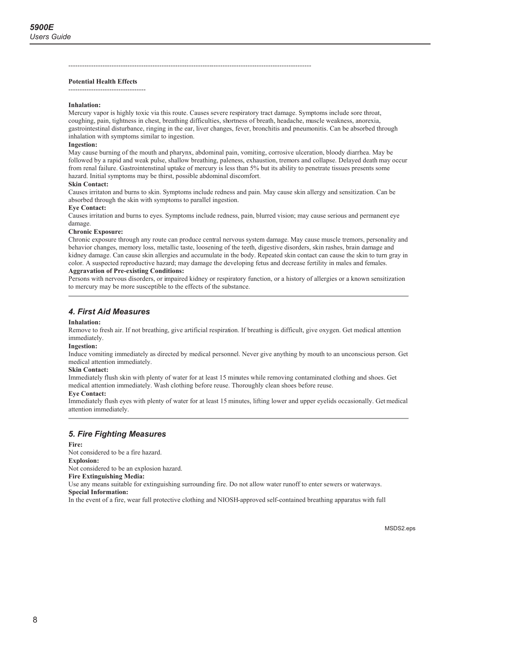#### **Potential Health Effects**

#### Inhalation:

Mercury vapor is highly toxic via this route. Causes severe respiratory tract damage. Symptoms include sore throat, coughing, pain, tightness in chest, breathing difficulties, shortness of breath, headache, muscle weakness, anorexia, gastrointestinal disturbance, ringing in the ear, liver changes, fever, bronchitis and pneumonitis. Can be absorbed through inhalation with symptoms similar to ingestion.

#### Ingestion.

May cause burning of the mouth and pharynx, abdominal pain, vomiting, corrosive ulceration, bloody diarrhea. May be followed by a rapid and weak pulse, shallow breathing, paleness, exhaustion, tremors and collapse. Delayed death may occur from renal failure. Gastrointenstinal uptake of mercury is less than 5% but its ability to penetrate tissues presents some hazard. Initial symptoms may be thirst, possible abdominal discomfort.

#### **Skin Contact:**

Causes irritaton and burns to skin. Symptoms include redness and pain. May cause skin allergy and sensitization. Can be absorbed through the skin with symptoms to parallel ingestion.

#### **Eve Contact:**

Causes irritation and burns to eves. Symptoms include redness, pain, blurred vision; may cause serious and permanent eve damage.

#### **Chronic Exposure:**

Chronic exposure through any route can produce central nervous system damage. May cause muscle tremors, personality and behavior changes, memory loss, metallic taste, loosening of the teeth, digestive disorders, skin rashes, brain damage and kidney damage. Can cause skin allergies and accumulate in the body. Repeated skin contact can cause the skin to turn gray in color. A suspected reproductive hazard; may damage the developing fetus and decrease fertility in males and females.

#### **Aggravation of Pre-existing Conditions:**

Persons with nervous disorders, or impaired kidney or respiratory function, or a history of allergies or a known sensitization to mercury may be more susceptible to the effects of the substance.

#### 4. First Aid Measures

#### Inhalation:

Remove to fresh air. If not breathing, give artificial respiration. If breathing is difficult, give oxygen. Get medical attention immediately.

#### **Ingestion:**

Induce vomiting immediately as directed by medical personnel. Never give anything by mouth to an unconscious person. Get medical attention immediately.

#### **Skin Contact:**

Immediately flush skin with plenty of water for at least 15 minutes while removing contaminated clothing and shoes. Get medical attention immediately. Wash clothing before reuse. Thoroughly clean shoes before reuse.

#### **Eve Contact:**

Immediately flush eyes with plenty of water for at least 15 minutes, lifting lower and upper eyelids occasionally. Get medical attention immediately.

#### **5. Fire Fighting Measures**

#### Fire:

Not considered to be a fire hazard. **Explosion:** Not considered to be an explosion hazard. **Fire Extinguishing Media:** Use any means suitable for extinguishing surrounding fire. Do not allow water runoff to enter sewers or waterways. **Special Information:** 

In the event of a fire, wear full protective clothing and NIOSH-approved self-contained breathing apparatus with full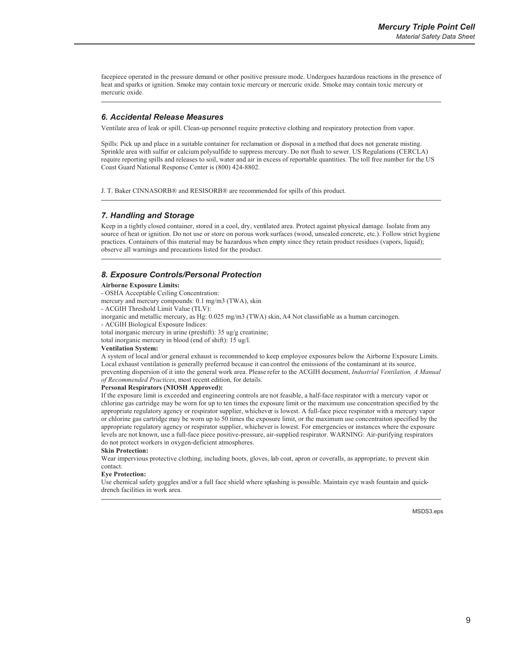facepiece operated in the pressure demand or other positive pressure mode. Undergoes hazardous reactions in the presence of heat and sparks or ignition. Smoke may contain toxic mercury or mercuric oxide. Smoke may contain toxic mercury or mercuric oxide.

#### 6. Accidental Release Measures

Ventilate area of leak or spill. Clean-up personnel require protective clothing and respiratory protection from vapor.

Spills: Pick up and place in a suitable container for reclamation or disposal in a method that does not generate misting. Sprinkle area with sulfur or calcium polysulfide to suppress mercury. Do not flush to sewer. US Regulations (CERCLA) require reporting spills and releases to soil, water and air in excess of reportable quantities. The toll free number for the US Coast Guard National Response Center is (800) 424-8802.

J. T. Baker CINNASORB® and RESISORB® are recommended for spills of this product.

#### 7. Handling and Storage

Keep in a tightly closed container, stored in a cool, dry, ventilated area. Protect against physical damage. Isolate from any source of heat or ignition. Do not use or store on porous work surfaces (wood, unsealed concrete, etc.). Follow strict hygiene practices. Containers of this material may be hazardous when empty since they retain product residues (vapors, liquid); observe all warnings and precautions listed for the product.

#### 8. Exposure Controls/Personal Protection

#### **Airborne Exposure Limits:**

- OSHA Acceptable Ceiling Concentration:
- mercury and mercury compounds: 0.1 mg/m3 (TWA), skin
- ACGIH Threshold Limit Value (TLV):
- inorganic and metallic mercury, as Hg: 0.025 mg/m3 (TWA) skin, A4 Not classifiable as a human carcinogen.
- ACGIH Biological Exposure Indices:
- total inorganic mercury in urine (preshift): 35 ug/g creatinine;

total inorganic mercury in blood (end of shift): 15 ug/l.

#### **Ventilation System:**

A system of local and/or general exhaust is recommended to keep employee exposures below the Airborne Exposure Limits. Local exhaust ventilation is generally preferred because it can control the emissions of the contaminant at its source, preventing dispersion of it into the general work area. Please refer to the ACGIH document, Industrial Ventilation, A Manual of Recommended Practices, most recent edition, for details.

#### **Personal Respirators (NIOSH Approved):**

If the exposure limit is exceeded and engineering controls are not feasible, a half-face respirator with a mercury vapor or chlorine gas cartridge may be worn for up to ten times the exposure limit or the maximum use concentration specified by the appropriate regulatory agency or respirator supplier, whichever is lowest. A full-face piece respirator with a mercury vapor or chlorine gas cartridge may be worn up to 50 times the exposure limit, or the maximum use concentraiton specified by the appropriate regulatory agency or respirator supplier, whichever is lowest. For emergencies or instances where the exposure levels are not known, use a full-face piece positive-pressure, air-supplied respirator. WARNING: Air-purifying respirators do not protect workers in oxygen-deficient atmospheres.

#### **Skin Protection:**

Wear impervious protective clothing, including boots, gloves, lab coat, apron or coveralls, as appropriate, to prevent skin contact

#### **Eye Protection:**

Use chemical safety goggles and/or a full face shield where splashing is possible. Maintain eye wash fountain and quickdrench facilities in work area.

MSDS3.eps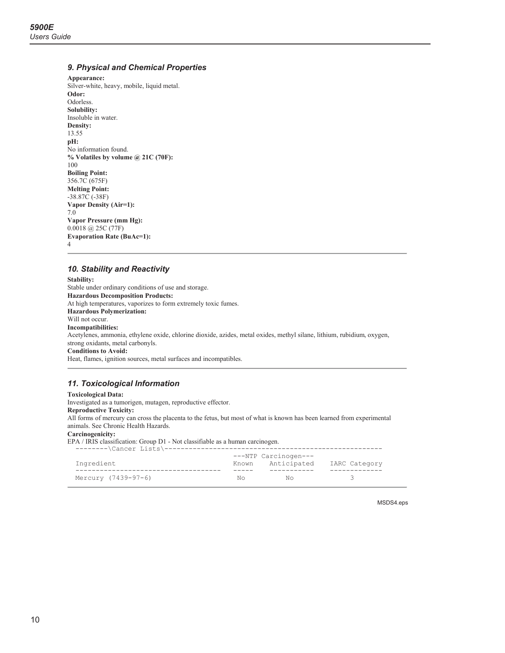#### 9. Physical and Chemical Properties

Appearance: Silver-white, heavy, mobile, liquid metal. Odor: Odorless. Solubility: Insoluble in water. Density: 13.55 pH: No information found. % Volatiles by volume @ 21C (70F): 100 **Boiling Point:** 356.7C (675F) **Melting Point:**  $-38.87C(-38F)$ Vapor Density (Air=1):  $7.0$ Vapor Pressure (mm Hg):  $0.0018$  (a) 25C (77F) **Evaporation Rate (BuAc=1):**  $\overline{4}$ 

#### 10. Stability and Reactivity

**Stability:** Stable under ordinary conditions of use and storage. **Hazardous Decomposition Products:** At high temperatures, vaporizes to form extremely toxic fumes. **Hazardous Polymerization:** Will not occur. **Incompatibilities:** Acetylenes, ammonia, ethylene oxide, chlorine dioxide, azides, metal oxides, methyl silane, lithium, rubidium, oxygen, strong oxidants, metal carbonyls. **Conditions to Avoid:** Heat, flames, ignition sources, metal surfaces and incompatibles.

#### 11. Toxicological Information

### **Toxicological Data:**

Investigated as a tumorigen, mutagen, reproductive effector. **Reproductive Toxicity:** All forms of mercury can cross the placenta to the fetus, but most of what is known has been learned from experimental animals. See Chronic Health Hazards. Carcinogenicity:

EPA / IRIS classification: Group D1 - Not classifiable as a human carcinogen.

|                     |     | ---NTP Carcinogen---            |  |  |  |
|---------------------|-----|---------------------------------|--|--|--|
| Ingredient          |     | Known Anticipated IARC Category |  |  |  |
|                     |     |                                 |  |  |  |
| Mercury (7439-97-6) | No. | N∩                              |  |  |  |

MSDS4.eps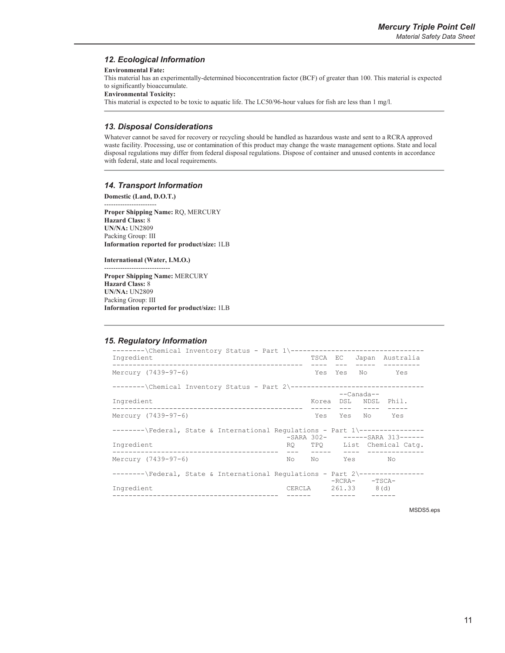#### 12. Ecological Information

#### **Environmental Fate:**

This material has an experimentally-determined bioconcentration factor (BCF) of greater than 100. This material is expected to significantly bioaccumulate.

**Environmental Toxicity:** 

This material is expected to be toxic to aquatic life. The LC50/96-hour values for fish are less than 1 mg/l.

#### 13. Disposal Considerations

Whatever cannot be saved for recovery or recycling should be handled as hazardous waste and sent to a RCRA approved waste facility. Processing, use or contamination of this product may change the waste management options. State and local disposal regulations may differ from federal disposal regulations. Dispose of container and unused contents in accordance with federal, state and local requirements.

#### **14. Transport Information**

Domestic (Land, D.O.T.) Proper Shipping Name: RQ, MERCURY **Hazard Class: 8 UN/NA: UN2809** Packing Group: III Information reported for product/size: 1LB

International (Water, I.M.O.)

Proper Shipping Name: MERCURY **Hazard Class: 8 UN/NA: UN2809** Packing Group: III Information reported for product/size: 1LB

#### **15. Regulatory Information**

| --------\Chemical Inventory Status - Part 1\---------------------------------<br>Ingredient                     |        |       | TSCA EC |                 | Japan Australia            |
|-----------------------------------------------------------------------------------------------------------------|--------|-------|---------|-----------------|----------------------------|
| Mercury (7439-97-6)                                                                                             |        |       |         |                 | Yes Yes No Yes             |
| --------\Chemical Inventory Status - Part 2\---------------------------------                                   |        |       |         | $---Canada--$   |                            |
| Ingredient                                                                                                      |        | Korea |         |                 | DSL NDSL Phil.             |
| Mercury (7439-97-6)                                                                                             |        |       |         | Yes Yes No Yes  |                            |
| --------\Federal, State & International Requlations - Part 1\---------------<br>-SARA 302- ------SARA 313------ |        |       |         |                 |                            |
| Ingredient                                                                                                      |        |       |         |                 | RO TPO List Chemical Catq. |
| Mercury (7439-97-6)                                                                                             |        |       |         | No No Yes No    |                            |
| --------\Federal, State & International Requlations - Part 2\---------------                                    |        |       |         | $-RCRA -TSCA-$  |                            |
| Ingredient                                                                                                      | CERCLA |       |         | $261.33$ $8(d)$ |                            |

MSDS5.eps